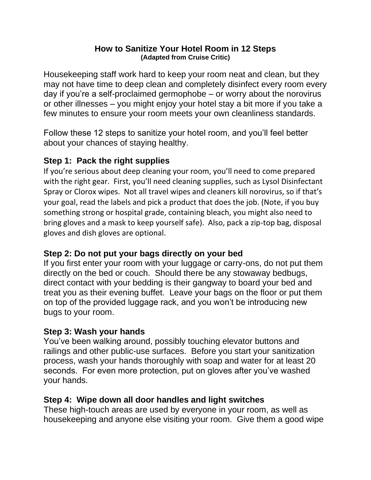#### **How to Sanitize Your Hotel Room in 12 Steps (Adapted from Cruise Critic)**

Housekeeping staff work hard to keep your room neat and clean, but they may not have time to deep clean and completely disinfect every room every day if you're a self-proclaimed germophobe – or worry about the norovirus or other illnesses – you might enjoy your hotel stay a bit more if you take a few minutes to ensure your room meets your own cleanliness standards.

Follow these 12 steps to sanitize your hotel room, and you'll feel better about your chances of staying healthy.

## **Step 1: Pack the right supplies**

If you're serious about deep cleaning your room, you'll need to come prepared with the right gear. First, you'll need cleaning supplies, such as Lysol Disinfectant Spray or Clorox wipes. Not all travel wipes and cleaners kill norovirus, so if that's your goal, read the labels and pick a product that does the job. (Note, if you buy something strong or hospital grade, containing bleach, you might also need to bring gloves and a mask to keep yourself safe). Also, pack a zip-top bag, disposal gloves and dish gloves are optional.

## **Step 2: Do not put your bags directly on your bed**

If you first enter your room with your luggage or carry-ons, do not put them directly on the bed or couch. Should there be any stowaway bedbugs, direct contact with your bedding is their gangway to board your bed and treat you as their evening buffet. Leave your bags on the floor or put them on top of the provided luggage rack, and you won't be introducing new bugs to your room.

## **Step 3: Wash your hands**

You've been walking around, possibly touching elevator buttons and railings and other public-use surfaces. Before you start your sanitization process, wash your hands thoroughly with soap and water for at least 20 seconds. For even more protection, put on gloves after you've washed your hands.

## **Step 4: Wipe down all door handles and light switches**

These high-touch areas are used by everyone in your room, as well as housekeeping and anyone else visiting your room. Give them a good wipe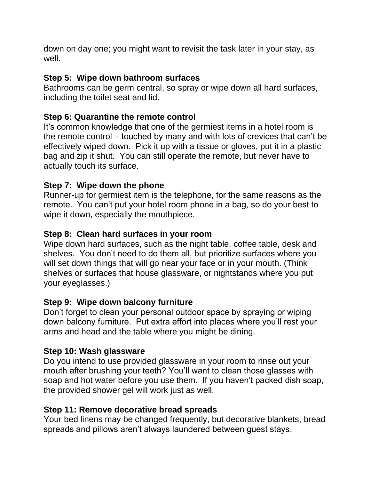down on day one; you might want to revisit the task later in your stay, as well.

## **Step 5: Wipe down bathroom surfaces**

Bathrooms can be germ central, so spray or wipe down all hard surfaces, including the toilet seat and lid.

# **Step 6: Quarantine the remote control**

It's common knowledge that one of the germiest items in a hotel room is the remote control – touched by many and with lots of crevices that can't be effectively wiped down. Pick it up with a tissue or gloves, put it in a plastic bag and zip it shut. You can still operate the remote, but never have to actually touch its surface.

# **Step 7: Wipe down the phone**

Runner-up for germiest item is the telephone, for the same reasons as the remote. You can't put your hotel room phone in a bag, so do your best to wipe it down, especially the mouthpiece.

# **Step 8: Clean hard surfaces in your room**

Wipe down hard surfaces, such as the night table, coffee table, desk and shelves. You don't need to do them all, but prioritize surfaces where you will set down things that will go near your face or in your mouth. (Think shelves or surfaces that house glassware, or nightstands where you put your eyeglasses.)

## **Step 9: Wipe down balcony furniture**

Don't forget to clean your personal outdoor space by spraying or wiping down balcony furniture. Put extra effort into places where you'll rest your arms and head and the table where you might be dining.

## **Step 10: Wash glassware**

Do you intend to use provided glassware in your room to rinse out your mouth after brushing your teeth? You'll want to clean those glasses with soap and hot water before you use them. If you haven't packed dish soap, the provided shower gel will work just as well.

## **Step 11: Remove decorative bread spreads**

Your bed linens may be changed frequently, but decorative blankets, bread spreads and pillows aren't always laundered between guest stays.